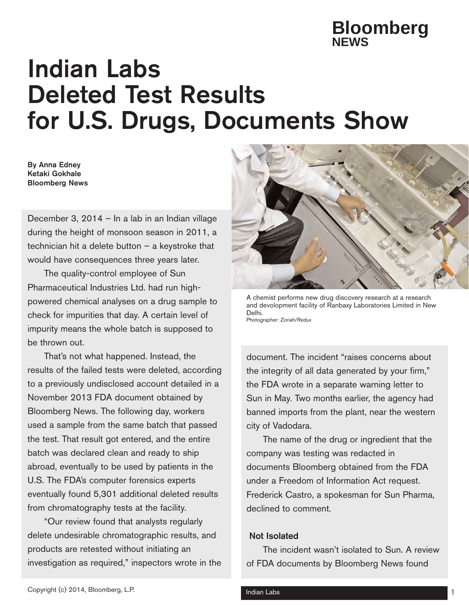# Indian Labs Deleted Test Results for U.S. Drugs, Documents Show

By Anna Edney Ketaki Gokhale Bloomberg News

December 3, 2014 – In a lab in an Indian village during the height of monsoon season in 2011, a technician hit a delete button – a keystroke that would have consequences three years later.

The quality-control employee of Sun Pharmaceutical Industries Ltd. had run highpowered chemical analyses on a drug sample to check for impurities that day. A certain level of impurity means the whole batch is supposed to be thrown out.

That's not what happened. Instead, the results of the failed tests were deleted, according to a previously undisclosed account detailed in a November 2013 FDA document obtained by Bloomberg News. The following day, workers used a sample from the same batch that passed the test. That result got entered, and the entire batch was declared clean and ready to ship abroad, eventually to be used by patients in the U.S. The FDA's computer forensics experts eventually found 5,301 additional deleted results from chromatography tests at the facility.

"Our review found that analysts regularly delete undesirable chromatographic results, and products are retested without initiating an investigation as required," inspectors wrote in the



A chemist performs new drug discovery research at a research and devolopment facility of Ranbaxy Laboratories Limited in New Delhi. Photographer: Zoriah/Redux

document. The incident "raises concerns about the integrity of all data generated by your firm," the FDA wrote in a separate warning letter to Sun in May. Two months earlier, the agency had banned imports from the plant, near the western city of Vadodara.

The name of the drug or ingredient that the company was testing was redacted in documents Bloomberg obtained from the FDA under a Freedom of Information Act request. Frederick Castro, a spokesman for Sun Pharma, declined to comment.

### Not Isolated

The incident wasn't isolated to Sun. A review of FDA documents by Bloomberg News found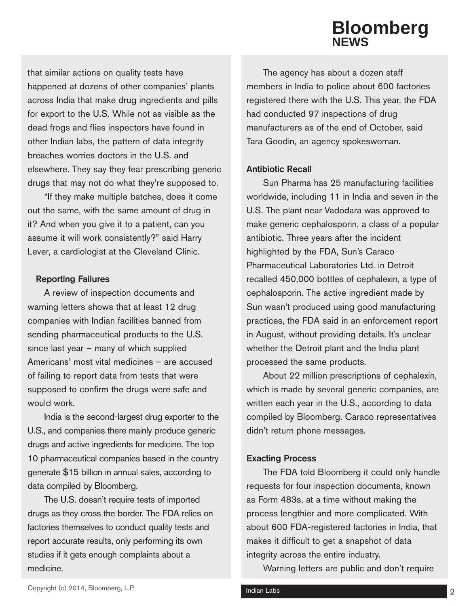that similar actions on quality tests have happened at dozens of other companies' plants across India that make drug ingredients and pills for export to the U.S. While not as visible as the dead frogs and flies inspectors have found in other Indian labs, the pattern of data integrity breaches worries doctors in the U.S. and elsewhere. They say they fear prescribing generic drugs that may not do what they're supposed to.

"If they make multiple batches, does it come out the same, with the same amount of drug in it? And when you give it to a patient, can you assume it will work consistently?" said Harry Lever, a cardiologist at the Cleveland Clinic.

### Reporting Failures

A review of inspection documents and warning letters shows that at least 12 drug companies with Indian facilities banned from sending pharmaceutical products to the U.S. since last year – many of which supplied Americans' most vital medicines – are accused of failing to report data from tests that were supposed to confirm the drugs were safe and would work.

India is the second-largest drug exporter to the U.S., and companies there mainly produce generic drugs and active ingredients for medicine. The top 10 pharmaceutical companies based in the country generate \$15 billion in annual sales, according to data compiled by Bloomberg.

The U.S. doesn't require tests of imported drugs as they cross the border. The FDA relies on factories themselves to conduct quality tests and report accurate results, only performing its own studies if it gets enough complaints about a medicine.

The agency has about a dozen staff members in India to police about 600 factories registered there with the U.S. This year, the FDA had conducted 97 inspections of drug manufacturers as of the end of October, said Tara Goodin, an agency spokeswoman.

### Antibiotic Recall

Sun Pharma has 25 manufacturing facilities worldwide, including 11 in India and seven in the U.S. The plant near Vadodara was approved to make generic cephalosporin, a class of a popular antibiotic. Three years after the incident highlighted by the FDA, Sun's Caraco Pharmaceutical Laboratories Ltd. in Detroit recalled 450,000 bottles of cephalexin, a type of cephalosporin. The active ingredient made by Sun wasn't produced using good manufacturing practices, the FDA said in an enforcement report in August, without providing details. It's unclear whether the Detroit plant and the India plant processed the same products.

About 22 million prescriptions of cephalexin, which is made by several generic companies, are written each year in the U.S., according to data compiled by Bloomberg. Caraco representatives didn't return phone messages.

### Exacting Process

The FDA told Bloomberg it could only handle requests for four inspection documents, known as Form 483s, at a time without making the process lengthier and more complicated. With about 600 FDA-registered factories in India, that makes it difficult to get a snapshot of data integrity across the entire industry.

Warning letters are public and don't require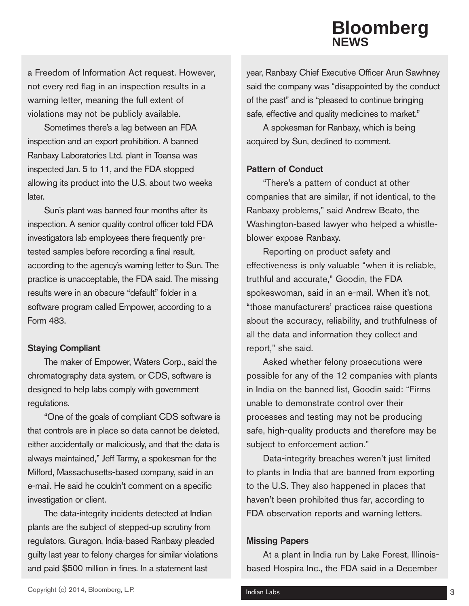a Freedom of Information Act request. However, not every red flag in an inspection results in a warning letter, meaning the full extent of violations may not be publicly available.

Sometimes there's a lag between an FDA inspection and an export prohibition. A banned Ranbaxy Laboratories Ltd. plant in Toansa was inspected Jan. 5 to 11, and the FDA stopped allowing its product into the U.S. about two weeks later.

Sun's plant was banned four months after its inspection. A senior quality control officer told FDA investigators lab employees there frequently pretested samples before recording a final result, according to the agency's warning letter to Sun. The practice is unacceptable, the FDA said. The missing results were in an obscure "default" folder in a software program called Empower, according to a Form 483.

### Staying Compliant

The maker of Empower, Waters Corp., said the chromatography data system, or CDS, software is designed to help labs comply with government regulations.

"One of the goals of compliant CDS software is that controls are in place so data cannot be deleted, either accidentally or maliciously, and that the data is always maintained," Jeff Tarmy, a spokesman for the Milford, Massachusetts-based company, said in an e-mail. He said he couldn't comment on a specific investigation or client.

The data-integrity incidents detected at Indian plants are the subject of stepped-up scrutiny from regulators. Guragon, India-based Ranbaxy pleaded guilty last year to felony charges for similar violations and paid \$500 million in fines. In a statement last

year, Ranbaxy Chief Executive Officer Arun Sawhney said the company was "disappointed by the conduct of the past" and is "pleased to continue bringing safe, effective and quality medicines to market."

A spokesman for Ranbaxy, which is being acquired by Sun, declined to comment.

### Pattern of Conduct

"There's a pattern of conduct at other companies that are similar, if not identical, to the Ranbaxy problems," said Andrew Beato, the Washington-based lawyer who helped a whistleblower expose Ranbaxy.

Reporting on product safety and effectiveness is only valuable "when it is reliable, truthful and accurate," Goodin, the FDA spokeswoman, said in an e-mail. When it's not, "those manufacturers' practices raise questions about the accuracy, reliability, and truthfulness of all the data and information they collect and report," she said.

Asked whether felony prosecutions were possible for any of the 12 companies with plants in India on the banned list, Goodin said: "Firms unable to demonstrate control over their processes and testing may not be producing safe, high-quality products and therefore may be subject to enforcement action."

Data-integrity breaches weren't just limited to plants in India that are banned from exporting to the U.S. They also happened in places that haven't been prohibited thus far, according to FDA observation reports and warning letters.

### Missing Papers

At a plant in India run by Lake Forest, Illinoisbased Hospira Inc., the FDA said in a December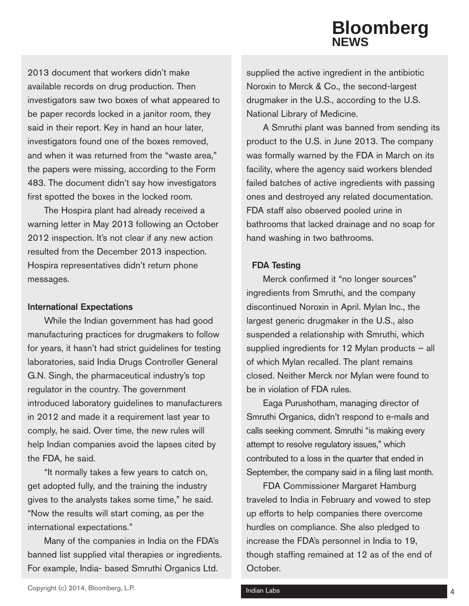2013 document that workers didn't make available records on drug production. Then investigators saw two boxes of what appeared to be paper records locked in a janitor room, they said in their report. Key in hand an hour later, investigators found one of the boxes removed, and when it was returned from the "waste area," the papers were missing, according to the Form 483. The document didn't say how investigators first spotted the boxes in the locked room.

The Hospira plant had already received a warning letter in May 2013 following an October 2012 inspection. It's not clear if any new action resulted from the December 2013 inspection. Hospira representatives didn't return phone messages.

### International Expectations

While the Indian government has had good manufacturing practices for drugmakers to follow for years, it hasn't had strict guidelines for testing laboratories, said India Drugs Controller General G.N. Singh, the pharmaceutical industry's top regulator in the country. The government introduced laboratory guidelines to manufacturers in 2012 and made it a requirement last year to comply, he said. Over time, the new rules will help Indian companies avoid the lapses cited by the FDA, he said.

"It normally takes a few years to catch on, get adopted fully, and the training the industry gives to the analysts takes some time," he said. "Now the results will start coming, as per the international expectations."

Many of the companies in India on the FDA's banned list supplied vital therapies or ingredients. For example, India- based Smruthi Organics Ltd.

supplied the active ingredient in the antibiotic Noroxin to Merck & Co., the second-largest drugmaker in the U.S., according to the U.S. National Library of Medicine.

A Smruthi plant was banned from sending its product to the U.S. in June 2013. The company was formally warned by the FDA in March on its facility, where the agency said workers blended failed batches of active ingredients with passing ones and destroyed any related documentation. FDA staff also observed pooled urine in bathrooms that lacked drainage and no soap for hand washing in two bathrooms.

### FDA Testing

Merck confirmed it "no longer sources" ingredients from Smruthi, and the company discontinued Noroxin in April. Mylan Inc., the largest generic drugmaker in the U.S., also suspended a relationship with Smruthi, which supplied ingredients for 12 Mylan products – all of which Mylan recalled. The plant remains closed. Neither Merck nor Mylan were found to be in violation of FDA rules.

Eaga Purushotham, managing director of Smruthi Organics, didn't respond to e-mails and calls seeking comment. Smruthi "is making every attempt to resolve regulatory issues," which contributed to a loss in the quarter that ended in September, the company said in a filing last month.

FDA Commissioner Margaret Hamburg traveled to India in February and vowed to step up efforts to help companies there overcome hurdles on compliance. She also pledged to increase the FDA's personnel in India to 19, though staffing remained at 12 as of the end of October.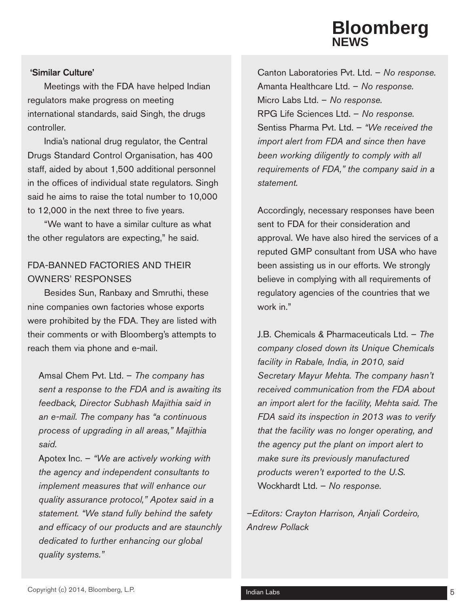### 'Similar Culture'

Meetings with the FDA have helped Indian regulators make progress on meeting international standards, said Singh, the drugs controller.

India's national drug regulator, the Central Drugs Standard Control Organisation, has 400 staff, aided by about 1,500 additional personnel in the offices of individual state regulators. Singh said he aims to raise the total number to 10,000 to 12,000 in the next three to five years.

"We want to have a similar culture as what the other regulators are expecting," he said.

### FDA-BANNED FACTORIES AND THEIR OWNERS' RESPONSES

Besides Sun, Ranbaxy and Smruthi, these nine companies own factories whose exports were prohibited by the FDA. They are listed with their comments or with Bloomberg's attempts to reach them via phone and e-mail.

Amsal Chem Pvt. Ltd. - The company has sent a response to the FDA and is awaiting its feedback, Director Subhash Majithia said in an e-mail. The company has "a continuous process of upgrading in all areas," Majithia said.

Apotex Inc. – "We are actively working with the agency and independent consultants to implement measures that will enhance our quality assurance protocol," Apotex said in a statement. "We stand fully behind the safety and efficacy of our products and are staunchly dedicated to further enhancing our global quality systems."

Canton Laboratories Pvt. Ltd. – No response. Amanta Healthcare Ltd. – No response. Micro Labs Ltd. – No response. RPG Life Sciences Ltd. – No response. Sentiss Pharma Pvt. Ltd. – "We received the import alert from FDA and since then have been working diligently to comply with all requirements of FDA," the company said in a statement.

Accordingly, necessary responses have been sent to FDA for their consideration and approval. We have also hired the services of a reputed GMP consultant from USA who have been assisting us in our efforts. We strongly believe in complying with all requirements of regulatory agencies of the countries that we work in."

J.B. Chemicals & Pharmaceuticals Ltd. – The company closed down its Unique Chemicals facility in Rabale, India, in 2010, said Secretary Mayur Mehta. The company hasn't received communication from the FDA about an import alert for the facility, Mehta said. The FDA said its inspection in 2013 was to verify that the facility was no longer operating, and the agency put the plant on import alert to make sure its previously manufactured products weren't exported to the U.S. Wockhardt Ltd. – No response.

–Editors: Crayton Harrison, Anjali Cordeiro, Andrew Pollack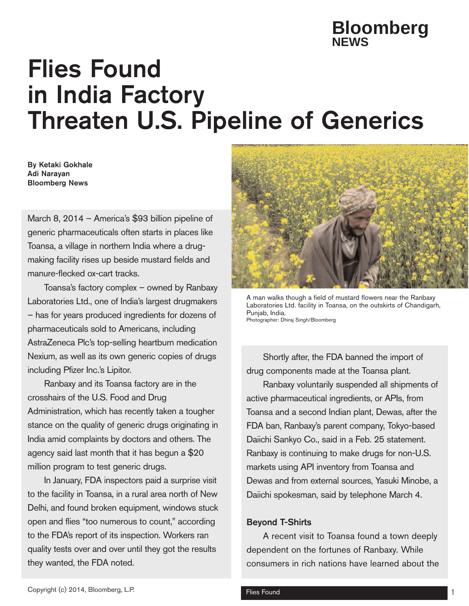# Flies Found in India Factory Threaten U.S. Pipeline of Generics

By Ketaki Gokhale Adi Narayan Bloomberg News

March 8, 2014 – America's \$93 billion pipeline of generic pharmaceuticals often starts in places like Toansa, a village in northern India where a drugmaking facility rises up beside mustard fields and manure-flecked ox-cart tracks.

Toansa's factory complex – owned by Ranbaxy Laboratories Ltd., one of India's largest drugmakers – has for years produced ingredients for dozens of pharmaceuticals sold to Americans, including AstraZeneca Plc's top-selling heartburn medication Nexium, as well as its own generic copies of drugs including Pfizer Inc.'s Lipitor.

Ranbaxy and its Toansa factory are in the crosshairs of the U.S. Food and Drug Administration, which has recently taken a tougher stance on the quality of generic drugs originating in India amid complaints by doctors and others. The agency said last month that it has begun a \$20 million program to test generic drugs.

In January, FDA inspectors paid a surprise visit to the facility in Toansa, in a rural area north of New Delhi, and found broken equipment, windows stuck open and flies "too numerous to count," according to the FDA's report of its inspection. Workers ran quality tests over and over until they got the results they wanted, the FDA noted.



A man walks though a field of mustard flowers near the Ranbaxy Laboratories Ltd. facility in Toansa, on the outskirts of Chandigarh, Punjab, India. Photographer: Dhiraj Singh/Bloomberg

Shortly after, the FDA banned the import of drug components made at the Toansa plant.

Ranbaxy voluntarily suspended all shipments of active pharmaceutical ingredients, or APIs, from Toansa and a second Indian plant, Dewas, after the FDA ban, Ranbaxy's parent company, Tokyo-based Daiichi Sankyo Co., said in a Feb. 25 statement. Ranbaxy is continuing to make drugs for non-U.S. markets using API inventory from Toansa and Dewas and from external sources, Yasuki Minobe, a Daiichi spokesman, said by telephone March 4.

### Beyond T-Shirts

A recent visit to Toansa found a town deeply dependent on the fortunes of Ranbaxy. While consumers in rich nations have learned about the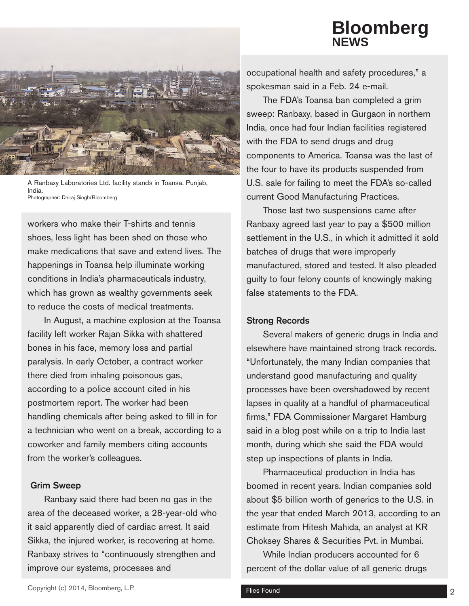

A Ranbaxy Laboratories Ltd. facility stands in Toansa, Punjab, India. Photographer: Dhiraj Singh/Bloomberg

workers who make their T-shirts and tennis shoes, less light has been shed on those who make medications that save and extend lives. The happenings in Toansa help illuminate working conditions in India's pharmaceuticals industry, which has grown as wealthy governments seek to reduce the costs of medical treatments.

In August, a machine explosion at the Toansa facility left worker Rajan Sikka with shattered bones in his face, memory loss and partial paralysis. In early October, a contract worker there died from inhaling poisonous gas, according to a police account cited in his postmortem report. The worker had been handling chemicals after being asked to fill in for a technician who went on a break, according to a coworker and family members citing accounts from the worker's colleagues.

### Grim Sweep

Ranbaxy said there had been no gas in the area of the deceased worker, a 28-year-old who it said apparently died of cardiac arrest. It said Sikka, the injured worker, is recovering at home. Ranbaxy strives to "continuously strengthen and improve our systems, processes and

occupational health and safety procedures," a spokesman said in a Feb. 24 e-mail.

The FDA's Toansa ban completed a grim sweep: Ranbaxy, based in Gurgaon in northern India, once had four Indian facilities registered with the FDA to send drugs and drug components to America. Toansa was the last of the four to have its products suspended from U.S. sale for failing to meet the FDA's so-called current Good Manufacturing Practices.

Those last two suspensions came after Ranbaxy agreed last year to pay a \$500 million settlement in the U.S., in which it admitted it sold batches of drugs that were improperly manufactured, stored and tested. It also pleaded guilty to four felony counts of knowingly making false statements to the FDA.

### Strong Records

Several makers of generic drugs in India and elsewhere have maintained strong track records. "Unfortunately, the many Indian companies that understand good manufacturing and quality processes have been overshadowed by recent lapses in quality at a handful of pharmaceutical firms," FDA Commissioner Margaret Hamburg said in a blog post while on a trip to India last month, during which she said the FDA would step up inspections of plants in India.

Pharmaceutical production in India has boomed in recent years. Indian companies sold about \$5 billion worth of generics to the U.S. in the year that ended March 2013, according to an estimate from Hitesh Mahida, an analyst at KR Choksey Shares & Securities Pvt. in Mumbai.

While Indian producers accounted for 6 percent of the dollar value of all generic drugs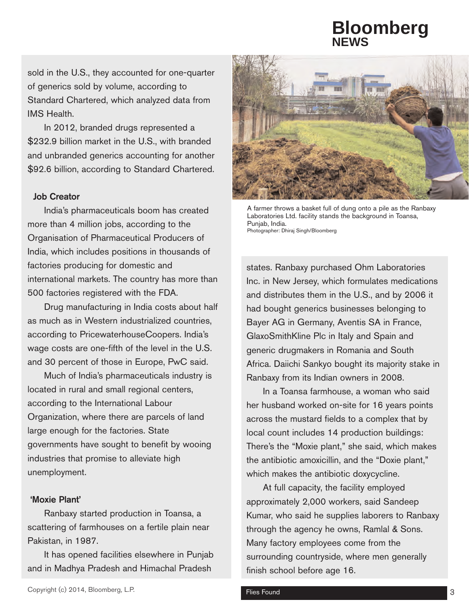sold in the U.S., they accounted for one-quarter of generics sold by volume, according to Standard Chartered, which analyzed data from IMS Health.

In 2012, branded drugs represented a \$232.9 billion market in the U.S., with branded and unbranded generics accounting for another \$92.6 billion, according to Standard Chartered.

### Job Creator

India's pharmaceuticals boom has created more than 4 million jobs, according to the Organisation of Pharmaceutical Producers of India, which includes positions in thousands of factories producing for domestic and international markets. The country has more than 500 factories registered with the FDA.

Drug manufacturing in India costs about half as much as in Western industrialized countries, according to PricewaterhouseCoopers. India's wage costs are one-fifth of the level in the U.S. and 30 percent of those in Europe, PwC said.

Much of India's pharmaceuticals industry is located in rural and small regional centers, according to the International Labour Organization, where there are parcels of land large enough for the factories. State governments have sought to benefit by wooing industries that promise to alleviate high unemployment.

#### 'Moxie Plant'

Ranbaxy started production in Toansa, a scattering of farmhouses on a fertile plain near Pakistan, in 1987.

It has opened facilities elsewhere in Punjab and in Madhya Pradesh and Himachal Pradesh



A farmer throws a basket full of dung onto a pile as the Ranbaxy Laboratories Ltd. facility stands the background in Toansa, Punjab, India. Photographer: Dhiraj Singh/Bloomberg

states. Ranbaxy purchased Ohm Laboratories Inc. in New Jersey, which formulates medications and distributes them in the U.S., and by 2006 it had bought generics businesses belonging to Bayer AG in Germany, Aventis SA in France, GlaxoSmithKline Plc in Italy and Spain and generic drugmakers in Romania and South Africa. Daiichi Sankyo bought its majority stake in Ranbaxy from its Indian owners in 2008.

In a Toansa farmhouse, a woman who said her husband worked on-site for 16 years points across the mustard fields to a complex that by local count includes 14 production buildings: There's the "Moxie plant," she said, which makes the antibiotic amoxicillin, and the "Doxie plant," which makes the antibiotic doxycycline.

At full capacity, the facility employed approximately 2,000 workers, said Sandeep Kumar, who said he supplies laborers to Ranbaxy through the agency he owns, Ramlal & Sons. Many factory employees come from the surrounding countryside, where men generally finish school before age 16.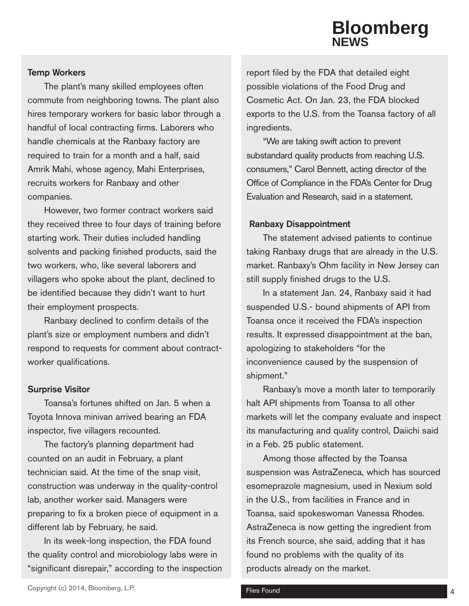### Temp Workers

The plant's many skilled employees often commute from neighboring towns. The plant also hires temporary workers for basic labor through a handful of local contracting firms. Laborers who handle chemicals at the Ranbaxy factory are required to train for a month and a half, said Amrik Mahi, whose agency, Mahi Enterprises, recruits workers for Ranbaxy and other companies.

However, two former contract workers said they received three to four days of training before starting work. Their duties included handling solvents and packing finished products, said the two workers, who, like several laborers and villagers who spoke about the plant, declined to be identified because they didn't want to hurt their employment prospects.

Ranbaxy declined to confirm details of the plant's size or employment numbers and didn't respond to requests for comment about contractworker qualifications.

### Surprise Visitor

Toansa's fortunes shifted on Jan. 5 when a Toyota Innova minivan arrived bearing an FDA inspector, five villagers recounted.

The factory's planning department had counted on an audit in February, a plant technician said. At the time of the snap visit, construction was underway in the quality-control lab, another worker said. Managers were preparing to fix a broken piece of equipment in a different lab by February, he said.

In its week-long inspection, the FDA found the quality control and microbiology labs were in "significant disrepair," according to the inspection

report filed by the FDA that detailed eight possible violations of the Food Drug and Cosmetic Act. On Jan. 23, the FDA blocked exports to the U.S. from the Toansa factory of all ingredients.

"We are taking swift action to prevent substandard quality products from reaching U.S. consumers," Carol Bennett, acting director of the Office of Compliance in the FDA's Center for Drug Evaluation and Research, said in a statement.

### Ranbaxy Disappointment

The statement advised patients to continue taking Ranbaxy drugs that are already in the U.S. market. Ranbaxy's Ohm facility in New Jersey can still supply finished drugs to the U.S.

In a statement Jan. 24, Ranbaxy said it had suspended U.S.- bound shipments of API from Toansa once it received the FDA's inspection results. It expressed disappointment at the ban, apologizing to stakeholders "for the inconvenience caused by the suspension of shipment."

Ranbaxy's move a month later to temporarily halt API shipments from Toansa to all other markets will let the company evaluate and inspect its manufacturing and quality control, Daiichi said in a Feb. 25 public statement.

Among those affected by the Toansa suspension was AstraZeneca, which has sourced esomeprazole magnesium, used in Nexium sold in the U.S., from facilities in France and in Toansa, said spokeswoman Vanessa Rhodes. AstraZeneca is now getting the ingredient from its French source, she said, adding that it has found no problems with the quality of its products already on the market.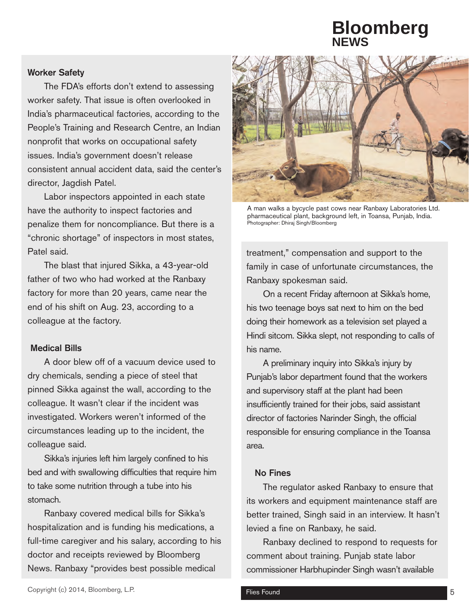### Worker Safety

The FDA's efforts don't extend to assessing worker safety. That issue is often overlooked in India's pharmaceutical factories, according to the People's Training and Research Centre, an Indian nonprofit that works on occupational safety issues. India's government doesn't release consistent annual accident data, said the center's director, Jagdish Patel.

Labor inspectors appointed in each state have the authority to inspect factories and penalize them for noncompliance. But there is a "chronic shortage" of inspectors in most states, Patel said.

The blast that injured Sikka, a 43-year-old father of two who had worked at the Ranbaxy factory for more than 20 years, came near the end of his shift on Aug. 23, according to a colleague at the factory.

### Medical Bills

A door blew off of a vacuum device used to dry chemicals, sending a piece of steel that pinned Sikka against the wall, according to the colleague. It wasn't clear if the incident was investigated. Workers weren't informed of the circumstances leading up to the incident, the colleague said.

Sikka's injuries left him largely confined to his bed and with swallowing difficulties that require him to take some nutrition through a tube into his stomach.

Ranbaxy covered medical bills for Sikka's hospitalization and is funding his medications, a full-time caregiver and his salary, according to his doctor and receipts reviewed by Bloomberg News. Ranbaxy "provides best possible medical



A man walks a bycycle past cows near Ranbaxy Laboratories Ltd. pharmaceutical plant, background left, in Toansa, Punjab, India. Photographer: Dhiraj Singh/Bloomberg

treatment," compensation and support to the family in case of unfortunate circumstances, the Ranbaxy spokesman said.

On a recent Friday afternoon at Sikka's home, his two teenage boys sat next to him on the bed doing their homework as a television set played a Hindi sitcom. Sikka slept, not responding to calls of his name.

A preliminary inquiry into Sikka's injury by Punjab's labor department found that the workers and supervisory staff at the plant had been insufficiently trained for their jobs, said assistant director of factories Narinder Singh, the official responsible for ensuring compliance in the Toansa area.

#### No Fines

The regulator asked Ranbaxy to ensure that its workers and equipment maintenance staff are better trained, Singh said in an interview. It hasn't levied a fine on Ranbaxy, he said.

Ranbaxy declined to respond to requests for comment about training. Punjab state labor commissioner Harbhupinder Singh wasn't available